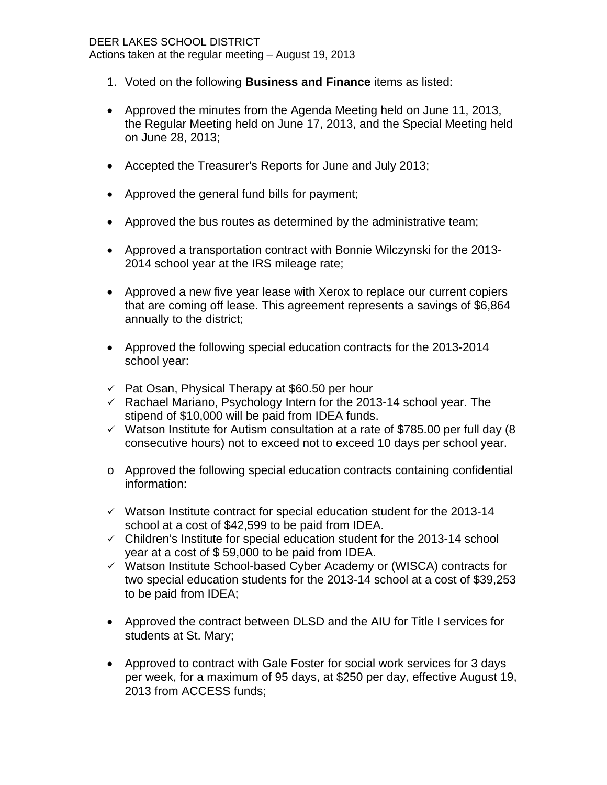- 1. Voted on the following **Business and Finance** items as listed:
- Approved the minutes from the Agenda Meeting held on June 11, 2013, the Regular Meeting held on June 17, 2013, and the Special Meeting held on June 28, 2013;
- Accepted the Treasurer's Reports for June and July 2013;
- Approved the general fund bills for payment;
- Approved the bus routes as determined by the administrative team;
- Approved a transportation contract with Bonnie Wilczynski for the 2013- 2014 school year at the IRS mileage rate;
- Approved a new five year lease with Xerox to replace our current copiers that are coming off lease. This agreement represents a savings of \$6,864 annually to the district;
- Approved the following special education contracts for the 2013-2014 school year:
- $\sqrt{ }$  Pat Osan, Physical Therapy at \$60.50 per hour
- $\overline{V}$  Rachael Mariano, Psychology Intern for the 2013-14 school year. The stipend of \$10,000 will be paid from IDEA funds.
- $\checkmark$  Watson Institute for Autism consultation at a rate of \$785.00 per full day (8) consecutive hours) not to exceed not to exceed 10 days per school year.
- o Approved the following special education contracts containing confidential information:
- $\checkmark$  Watson Institute contract for special education student for the 2013-14 school at a cost of \$42,599 to be paid from IDEA.
- $\checkmark$  Children's Institute for special education student for the 2013-14 school year at a cost of \$ 59,000 to be paid from IDEA.
- $\checkmark$  Watson Institute School-based Cyber Academy or (WISCA) contracts for two special education students for the 2013-14 school at a cost of \$39,253 to be paid from IDEA;
- Approved the contract between DLSD and the AIU for Title I services for students at St. Mary;
- Approved to contract with Gale Foster for social work services for 3 days per week, for a maximum of 95 days, at \$250 per day, effective August 19, 2013 from ACCESS funds;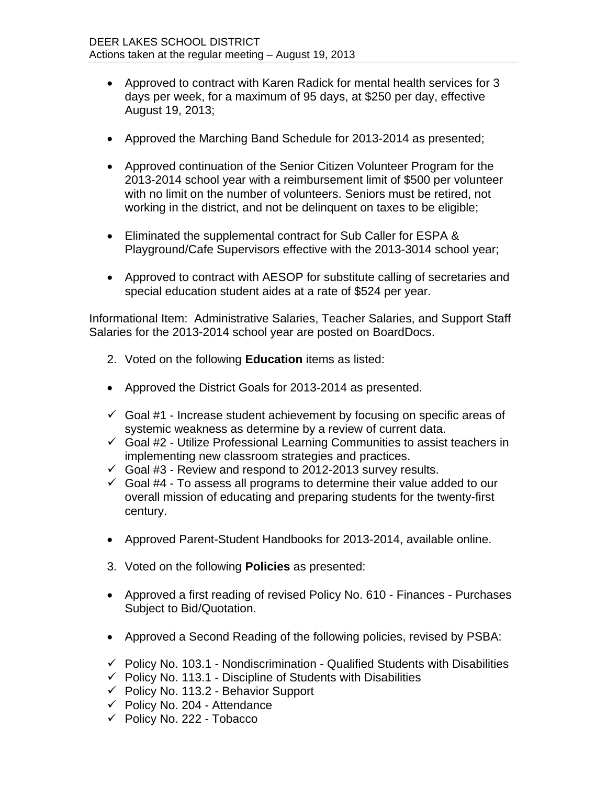- Approved to contract with Karen Radick for mental health services for 3 days per week, for a maximum of 95 days, at \$250 per day, effective August 19, 2013;
- Approved the Marching Band Schedule for 2013-2014 as presented;
- Approved continuation of the Senior Citizen Volunteer Program for the 2013-2014 school year with a reimbursement limit of \$500 per volunteer with no limit on the number of volunteers. Seniors must be retired, not working in the district, and not be delinquent on taxes to be eligible;
- Eliminated the supplemental contract for Sub Caller for ESPA & Playground/Cafe Supervisors effective with the 2013-3014 school year;
- Approved to contract with AESOP for substitute calling of secretaries and special education student aides at a rate of \$524 per year.

Informational Item: Administrative Salaries, Teacher Salaries, and Support Staff Salaries for the 2013-2014 school year are posted on BoardDocs.

- 2. Voted on the following **Education** items as listed:
- Approved the District Goals for 2013-2014 as presented.
- $\checkmark$  Goal #1 Increase student achievement by focusing on specific areas of systemic weakness as determine by a review of current data.
- $\checkmark$  Goal #2 Utilize Professional Learning Communities to assist teachers in implementing new classroom strategies and practices.
- $\checkmark$  Goal #3 Review and respond to 2012-2013 survey results.
- $\checkmark$  Goal #4 To assess all programs to determine their value added to our overall mission of educating and preparing students for the twenty-first century.
- Approved Parent-Student Handbooks for 2013-2014, available online.
- 3. Voted on the following **Policies** as presented:
- Approved a first reading of revised Policy No. 610 Finances Purchases Subject to Bid/Quotation.
- Approved a Second Reading of the following policies, revised by PSBA:
- $\checkmark$  Policy No. 103.1 Nondiscrimination Qualified Students with Disabilities
- $\checkmark$  Policy No. 113.1 Discipline of Students with Disabilities
- $\checkmark$  Policy No. 113.2 Behavior Support
- $\checkmark$  Policy No. 204 Attendance
- $\checkmark$  Policy No. 222 Tobacco